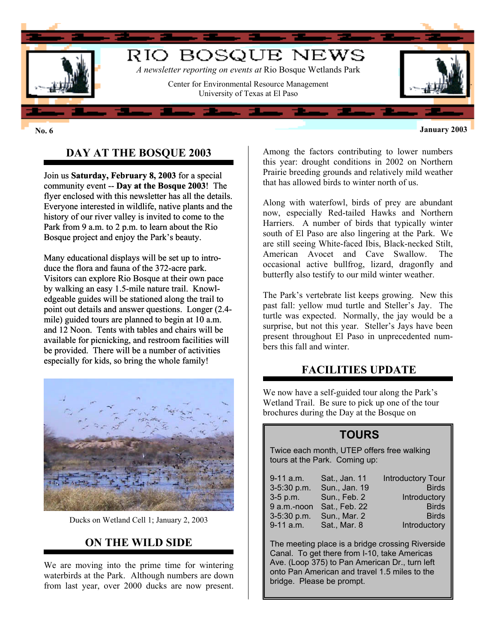

#### **No. 6 January 2003**

# **DAY AT THE BOSQUE 2003**

Join us **Saturday, February 8, 2003** for a special community event -- **Day at the Bosque 2003**! The flyer enclosed with this newsletter has all the details. Everyone interested in wildlife, native plants and the history of our river valley is invited to come to the Park from 9 a.m. to 2 p.m. to learn about the Rio Bosque project and enjoy the Park's beauty.

Many educational displays will be set up to introduce the flora and fauna of the 372-acre park. Visitors can explore Rio Bosque at their own pace by walking an easy 1.5-mile nature trail. Knowledgeable guides will be stationed along the trail to point out details and answer questions. Longer (2.4 mile) guided tours are planned to begin at 10 a.m. and 12 Noon. Tents with tables and chairs will be available for picnicking, and restroom facilities will be provided. There will be a number of activities especially for kids, so bring the whole family!



Ducks on Wetland Cell 1; January 2, 2003

#### **ON THE WILD SIDE**

We are moving into the prime time for wintering waterbirds at the Park. Although numbers are down from last year, over 2000 ducks are now present.

Among the factors contributing to lower numbers this year: drought conditions in 2002 on Northern Prairie breeding grounds and relatively mild weather that has allowed birds to winter north of us.

Along with waterfowl, birds of prey are abundant now, especially Red-tailed Hawks and Northern Harriers. A number of birds that typically winter south of El Paso are also lingering at the Park. We are still seeing White-faced Ibis, Black-necked Stilt, American Avocet and Cave Swallow. The occasional active bullfrog, lizard, dragonfly and butterfly also testify to our mild winter weather.

The Park's vertebrate list keeps growing. New this past fall: yellow mud turtle and Steller's Jay. The turtle was expected. Normally, the jay would be a surprise, but not this year. Steller's Jays have been present throughout El Paso in unprecedented numbers this fall and winter.

#### **FACILITIES UPDATE**

We now have a self-guided tour along the Park's Wetland Trail. Be sure to pick up one of the tour brochures during the Day at the Bosque on

### **TOURS**

Twice each month, UTEP offers free walking tours at the Park. Coming up:

| 9-11 a.m.       | Sat., Jan. 11 | <b>Introductory Tour</b> |
|-----------------|---------------|--------------------------|
| 3-5:30 p.m.     | Sun., Jan. 19 | <b>Birds</b>             |
| $3-5$ p.m.      | Sun., Feb. 2  | Introductory             |
| 9 a.m.-noon     | Sat., Feb. 22 | <b>Birds</b>             |
| $3 - 5:30$ p.m. | Sun., Mar. 2  | <b>Birds</b>             |
| $9-11$ a.m.     | Sat., Mar. 8  | Introductory             |

The meeting place is a bridge crossing Riverside Canal. To get there from I-10, take Americas Ave. (Loop 375) to Pan American Dr., turn left onto Pan American and travel 1.5 miles to the bridge. Please be prompt.